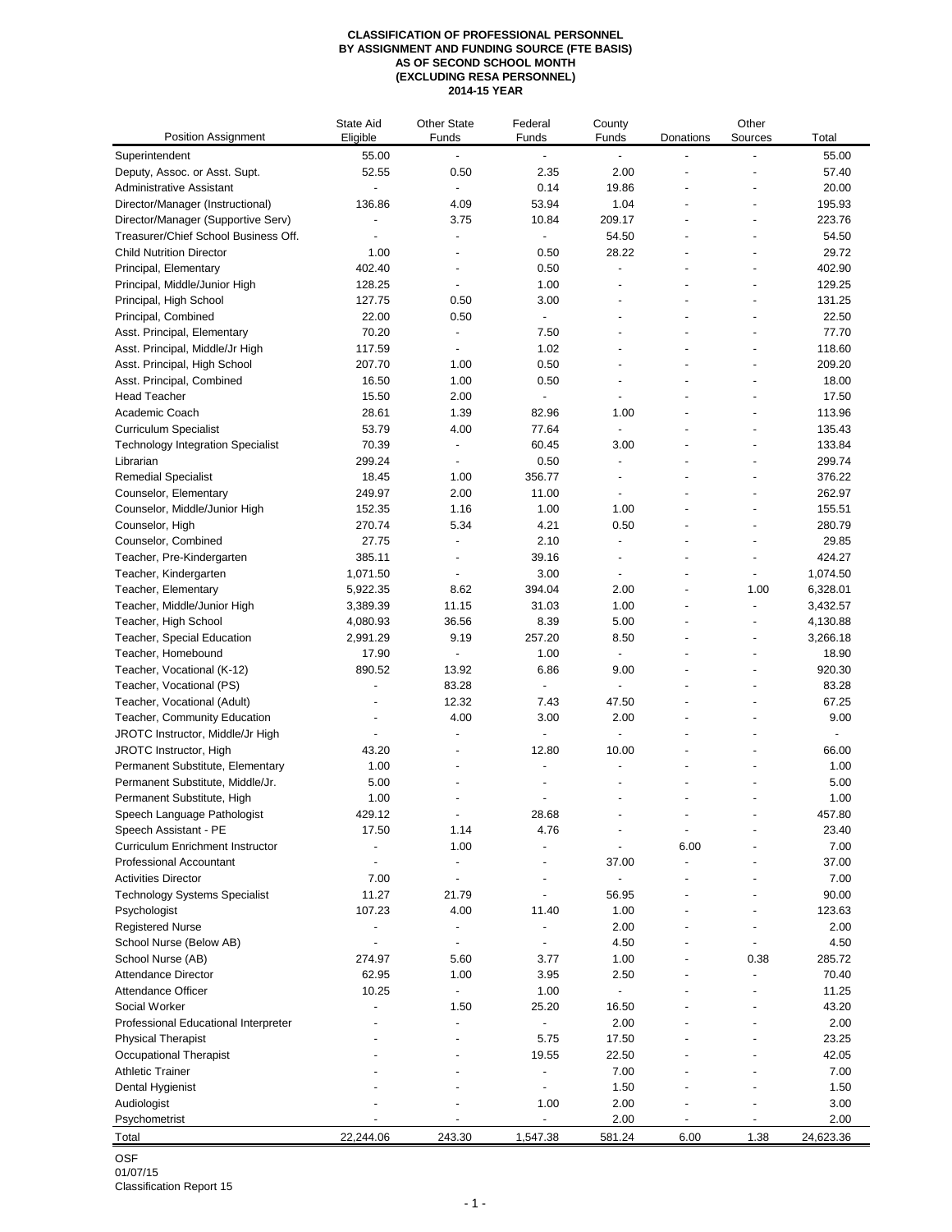## **CLASSIFICATION OF PROFESSIONAL PERSONNEL BY ASSIGNMENT AND FUNDING SOURCE (FTE BASIS) AS OF SECOND SCHOOL MONTH (EXCLUDING RESA PERSONNEL) 2014-15 YEAR**

| <b>Position Assignment</b>                   | State Aid<br>Eligible    | <b>Other State</b><br>Funds | Federal<br>Funds         | County<br>Funds          | Donations      | Other<br>Sources         | Total           |
|----------------------------------------------|--------------------------|-----------------------------|--------------------------|--------------------------|----------------|--------------------------|-----------------|
| Superintendent                               | 55.00                    | $\overline{a}$              | $\overline{\phantom{a}}$ | $\overline{\phantom{a}}$ |                | ÷,                       | 55.00           |
| Deputy, Assoc. or Asst. Supt.                | 52.55                    | 0.50                        | 2.35                     | 2.00                     |                |                          | 57.40           |
| Administrative Assistant                     | $\overline{\phantom{a}}$ |                             | 0.14                     | 19.86                    |                |                          | 20.00           |
| Director/Manager (Instructional)             | 136.86                   | 4.09                        | 53.94                    | 1.04                     |                | $\overline{\phantom{a}}$ | 195.93          |
| Director/Manager (Supportive Serv)           |                          | 3.75                        | 10.84                    | 209.17                   |                | $\overline{\phantom{a}}$ | 223.76          |
| Treasurer/Chief School Business Off.         |                          | $\overline{a}$              | $\overline{\phantom{a}}$ | 54.50                    |                |                          | 54.50           |
| <b>Child Nutrition Director</b>              | 1.00                     |                             | 0.50                     | 28.22                    |                |                          | 29.72           |
| Principal, Elementary                        | 402.40                   | ÷,                          | 0.50                     |                          |                |                          | 402.90          |
| Principal, Middle/Junior High                | 128.25                   | $\overline{a}$              | 1.00                     |                          |                |                          | 129.25          |
| Principal, High School                       | 127.75                   | 0.50                        | 3.00                     |                          |                |                          | 131.25          |
| Principal, Combined                          | 22.00                    | 0.50                        | $\blacksquare$           |                          |                | $\overline{\phantom{a}}$ | 22.50           |
| Asst. Principal, Elementary                  | 70.20                    | $\overline{a}$              | 7.50                     |                          |                | $\overline{\phantom{a}}$ | 77.70           |
| Asst. Principal, Middle/Jr High              | 117.59                   | $\overline{a}$              | 1.02                     |                          |                | $\overline{a}$           | 118.60          |
| Asst. Principal, High School                 | 207.70                   | 1.00                        | 0.50                     | $\overline{a}$           |                |                          | 209.20          |
| Asst. Principal, Combined                    | 16.50                    | 1.00                        | 0.50                     | $\overline{a}$           |                | $\overline{\phantom{a}}$ | 18.00           |
| <b>Head Teacher</b>                          | 15.50                    | 2.00                        | ÷,                       |                          |                |                          | 17.50           |
| Academic Coach                               | 28.61                    | 1.39                        | 82.96                    | 1.00                     |                |                          | 113.96          |
| <b>Curriculum Specialist</b>                 | 53.79                    | 4.00                        | 77.64                    |                          |                |                          | 135.43          |
| <b>Technology Integration Specialist</b>     | 70.39                    | $\overline{a}$              | 60.45                    | 3.00                     |                |                          | 133.84          |
| Librarian                                    | 299.24                   |                             | 0.50                     |                          |                |                          | 299.74          |
| <b>Remedial Specialist</b>                   | 18.45                    | 1.00                        | 356.77                   |                          |                | $\overline{a}$           | 376.22          |
| Counselor, Elementary                        | 249.97                   | 2.00                        | 11.00                    | $\overline{\phantom{a}}$ |                | $\overline{\phantom{a}}$ | 262.97          |
| Counselor, Middle/Junior High                | 152.35                   | 1.16                        | 1.00                     | 1.00                     |                | $\overline{\phantom{a}}$ | 155.51          |
| Counselor, High                              | 270.74                   | 5.34                        | 4.21                     | 0.50                     |                |                          | 280.79          |
| Counselor, Combined                          | 27.75                    | ÷,<br>$\overline{a}$        | 2.10                     | ÷,                       |                | ÷,                       | 29.85<br>424.27 |
| Teacher, Pre-Kindergarten                    | 385.11                   |                             | 39.16<br>3.00            |                          |                | ÷,                       | 1,074.50        |
| Teacher, Kindergarten<br>Teacher, Elementary | 1,071.50<br>5,922.35     | 8.62                        | 394.04                   | 2.00                     |                | 1.00                     | 6,328.01        |
| Teacher, Middle/Junior High                  | 3,389.39                 | 11.15                       | 31.03                    | 1.00                     | $\overline{a}$ | ÷,                       | 3,432.57        |
| Teacher, High School                         | 4,080.93                 | 36.56                       | 8.39                     | 5.00                     |                | $\overline{\phantom{a}}$ | 4,130.88        |
| Teacher, Special Education                   | 2,991.29                 | 9.19                        | 257.20                   | 8.50                     |                |                          | 3,266.18        |
| Teacher, Homebound                           | 17.90                    | $\overline{a}$              | 1.00                     |                          |                | $\overline{\phantom{a}}$ | 18.90           |
| Teacher, Vocational (K-12)                   | 890.52                   | 13.92                       | 6.86                     | 9.00                     |                |                          | 920.30          |
| Teacher, Vocational (PS)                     |                          | 83.28                       |                          |                          |                |                          | 83.28           |
| Teacher, Vocational (Adult)                  |                          | 12.32                       | 7.43                     | 47.50                    |                |                          | 67.25           |
| Teacher, Community Education                 |                          | 4.00                        | 3.00                     | 2.00                     |                |                          | 9.00            |
| JROTC Instructor, Middle/Jr High             |                          | $\overline{a}$              | ÷,                       | $\overline{a}$           |                |                          | ÷,              |
| JROTC Instructor, High                       | 43.20                    |                             | 12.80                    | 10.00                    |                | $\overline{a}$           | 66.00           |
| Permanent Substitute, Elementary             | 1.00                     | $\overline{a}$              |                          |                          |                |                          | 1.00            |
| Permanent Substitute, Middle/Jr.             | 5.00                     |                             |                          |                          |                |                          | 5.00            |
| Permanent Substitute, High                   | 1.00                     |                             |                          |                          |                |                          | 1.00            |
| Speech Language Pathologist                  | 429.12                   |                             | 28.68                    |                          |                |                          | 457.80          |
| Speech Assistant - PE                        | 17.50                    | 1.14                        | 4.76                     |                          |                |                          | 23.40           |
| Curriculum Enrichment Instructor             | ÷                        | 1.00                        |                          |                          | 6.00           |                          | 7.00            |
| <b>Professional Accountant</b>               |                          |                             |                          | 37.00                    |                |                          | 37.00           |
| <b>Activities Director</b>                   | 7.00                     | $\overline{a}$              |                          | $\overline{a}$           |                |                          | 7.00            |
| <b>Technology Systems Specialist</b>         | 11.27                    | 21.79                       |                          | 56.95                    |                |                          | 90.00           |
| Psychologist                                 | 107.23                   | 4.00                        | 11.40                    | 1.00                     |                |                          | 123.63          |
| <b>Registered Nurse</b>                      | $\overline{a}$           | ÷,                          |                          | 2.00                     |                |                          | 2.00            |
| School Nurse (Below AB)                      | ÷,                       |                             |                          | 4.50                     |                |                          | 4.50            |
| School Nurse (AB)                            | 274.97                   | 5.60                        | 3.77                     | 1.00                     |                | 0.38                     | 285.72          |
| <b>Attendance Director</b>                   | 62.95                    | 1.00                        | 3.95                     | 2.50<br>$\overline{a}$   |                |                          | 70.40           |
| Attendance Officer<br>Social Worker          | 10.25                    | ٠                           | 1.00<br>25.20            | 16.50                    |                |                          | 11.25<br>43.20  |
| Professional Educational Interpreter         |                          | 1.50                        |                          | 2.00                     |                |                          | 2.00            |
| <b>Physical Therapist</b>                    |                          |                             | 5.75                     | 17.50                    |                |                          | 23.25           |
| Occupational Therapist                       |                          |                             | 19.55                    | 22.50                    |                |                          | 42.05           |
| <b>Athletic Trainer</b>                      |                          |                             |                          | 7.00                     |                |                          | 7.00            |
| Dental Hygienist                             |                          |                             |                          | 1.50                     |                |                          | 1.50            |
| Audiologist                                  |                          |                             | 1.00                     | 2.00                     |                |                          | 3.00            |
| Psychometrist                                |                          |                             |                          | 2.00                     |                |                          | 2.00            |
| Total                                        | 22,244.06                | 243.30                      | 1,547.38                 | 581.24                   | 6.00           | 1.38                     | 24,623.36       |
|                                              |                          |                             |                          |                          |                |                          |                 |

OSF 01/07/15

Classification Report 15